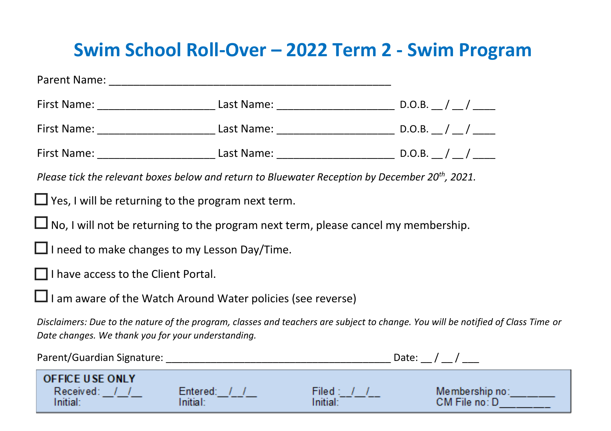## **Swim School Roll-Over – 2022 Term 2 - Swim Program**

| Please tick the relevant boxes below and return to Bluewater Reception by December 20 <sup>th</sup> , 2021.                                                                            |          |               |  |
|----------------------------------------------------------------------------------------------------------------------------------------------------------------------------------------|----------|---------------|--|
| $\Box$ Yes, I will be returning to the program next term.                                                                                                                              |          |               |  |
| $\Box$ No, I will not be returning to the program next term, please cancel my membership.                                                                                              |          |               |  |
| $\Box$ I need to make changes to my Lesson Day/Time.                                                                                                                                   |          |               |  |
| $\Box$ I have access to the Client Portal.                                                                                                                                             |          |               |  |
| $\Box$ I am aware of the Watch Around Water policies (see reverse)                                                                                                                     |          |               |  |
| Disclaimers: Due to the nature of the program, classes and teachers are subject to change. You will be notified of Class Time or<br>Date changes. We thank you for your understanding. |          |               |  |
|                                                                                                                                                                                        |          |               |  |
| <b>OFFICE USE ONLY</b><br>Received: $1/2$ Entered: $1/2$<br>Initial:<br>Initial:                                                                                                       | Initial: | CM File no: D |  |